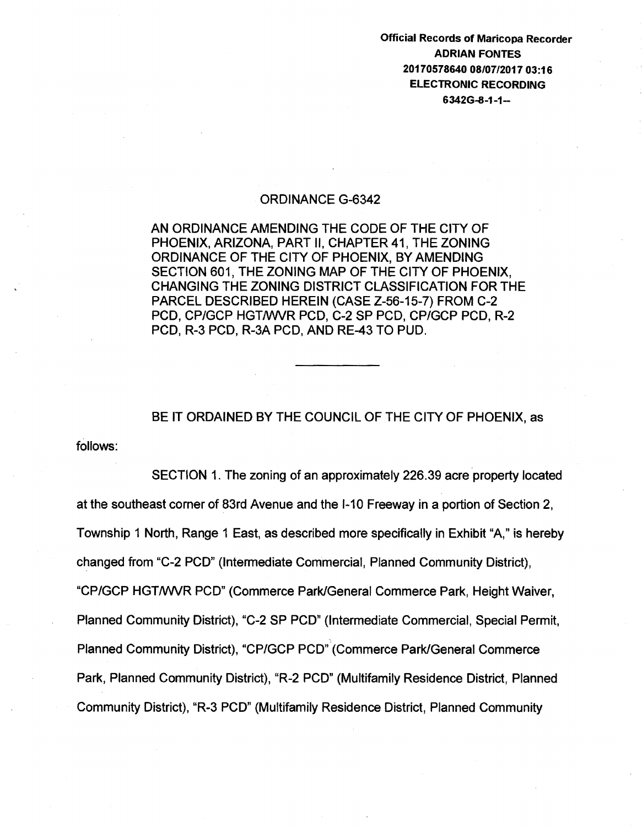Official Records of Maricopa Recorder ADRIAN FONTES 20170578640 08/07/2017 03:16 ELECTRONIC RECORDING 6342G-8-1-1-

#### ORDINANCE G-6342

AN ORDINANCE AMENDING THE CODE OF THE CITY OF PHOENIX, ARIZONA, PART II, CHAPTER 41, THE ZONING ORDINANCE OF THE CITY OF PHOENIX, BY AMENDING SECTION 601, THE ZONING MAP OF THE CITY OF PHOENIX, CHANGING THE ZONING DISTRICT CLASSIFICATION FOR THE PARCEL DESCRIBED HEREIN (CASE Z-56-15-7) FROM C-2 PCD, CP/GCP HGT/WVR PCD, C-2 SP PCD, CP/GCP PCD, R-2 PCD, R-3 PCD, R-3A PCD, AND RE-43 TO PUD.

BE IT ORDAINED BY THE COUNCIL OF THE CITY OF PHOENIX, as

follows:

SECTION 1. The zoning of an approximately 226.39 acre property located at the southeast corner of 83rd Avenue and the 1-10 Freeway in a portion of Section 2, Township 1 North, Range 1 East, as described more specifically in Exhibit "A," is hereby changed from "C-2 PCD" (Intermediate Commercial, Planned Community District), "CP/GCP HGT/WVR PCD" (Commerce Park/General Commerce Park, Height Waiver, Planned Community District), "C-2 SP PCD" (Intermediate Commercial, Special Permit, Planned Community District), "CP/GCP PCD".(Commerce Park/General Commerce Park, Planned Community District), "R-2 PCD" (Multifamily Residence District, Planned Community District), "R-3 PCD" (Multifamily Residence District, Planned Community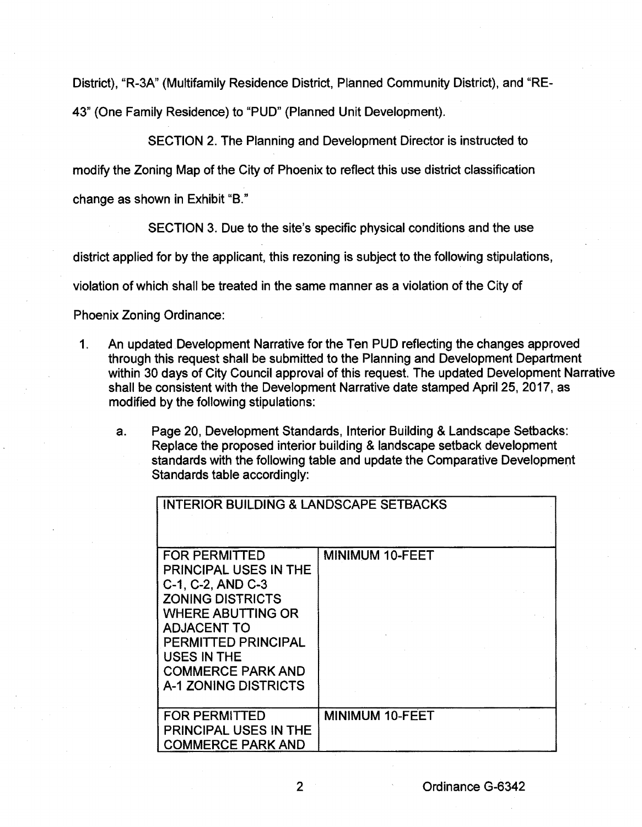District), "R-3A" (Multifamily Residence District, Planned Community District), and "RE-43" (One Family Residence) to "PUD" (Planned Unit Development).

SECTION 2. The Planning and Development Director is instructed to

modify the Zoning Map of the City of Phoenix to reflect this use district classification

change as shown in Exhibit "B."

SECTION 3. Due to the site's specific physical conditions and the use

district applied for by the applicant, this rezoning is subject to the following stipulations,

violation of which shall be treated in the same manner as a violation of the City of

Phoenix Zoning Ordinance:

- 1. An updated Development Narrative for the Ten PUD reflecting the changes approved through this request shall be submitted to the Planning and Development Department within 30 days of City Council approval of this request. The updated Development Narrative shall be consistent with the Development Narrative date stamped April25, 2017, as modified by the following stipulations:
	- a. Page 20, Development Standards, Interior Building & Landscape Setbacks: Replace the proposed interior building & landscape setback development standards with the following table and update the Comparative Development Standards table accordingly:

| <b>INTERIOR BUILDING &amp; LANDSCAPE SETBACKS</b>                                                                                                                                                                                                              |                        |  |
|----------------------------------------------------------------------------------------------------------------------------------------------------------------------------------------------------------------------------------------------------------------|------------------------|--|
| <b>FOR PERMITTED</b><br>PRINCIPAL USES IN THE<br>C-1, C-2, AND C-3<br><b>ZONING DISTRICTS</b><br><b>WHERE ABUTTING OR</b><br><b>ADJACENT TO</b><br><b>PERMITTED PRINCIPAL</b><br><b>USES IN THE</b><br><b>COMMERCE PARK AND</b><br><b>A-1 ZONING DISTRICTS</b> | <b>MINIMUM 10-FEET</b> |  |
| <b>FOR PERMITTED</b><br><b>PRINCIPAL USES IN THE</b><br><b>COMMERCE PARK AND</b>                                                                                                                                                                               | <b>MINIMUM 10-FEET</b> |  |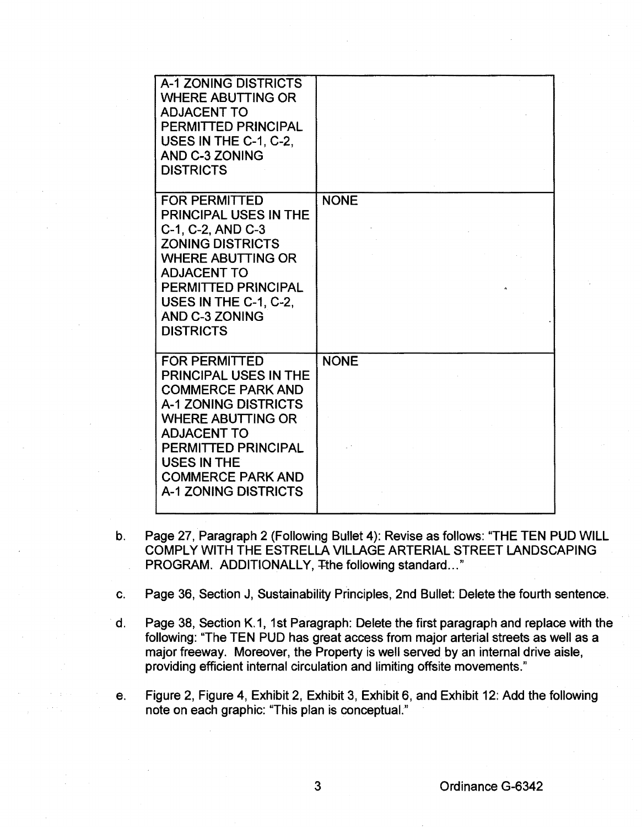| <b>A-1 ZONING DISTRICTS</b><br><b>WHERE ABUTTING OR</b><br><b>ADJACENT TO</b><br>PERMITTED PRINCIPAL<br>USES IN THE C-1, C-2,<br><b>AND C-3 ZONING</b><br><b>DISTRICTS</b>                                                                                         |             |
|--------------------------------------------------------------------------------------------------------------------------------------------------------------------------------------------------------------------------------------------------------------------|-------------|
| <b>FOR PERMITTED</b><br><b>PRINCIPAL USES IN THE</b><br>C-1, C-2, AND C-3<br><b>ZONING DISTRICTS</b><br><b>WHERE ABUTTING OR</b><br><b>ADJACENT TO</b><br><b>PERMITTED PRINCIPAL</b><br>USES IN THE C-1, C-2,<br>AND C-3 ZONING<br><b>DISTRICTS</b>                | <b>NONE</b> |
| <b>FOR PERMITTED</b><br><b>PRINCIPAL USES IN THE</b><br><b>COMMERCE PARK AND</b><br><b>A-1 ZONING DISTRICTS</b><br><b>WHERE ABUTTING OR</b><br><b>ADJACENT TO</b><br>PERMITTED PRINCIPAL<br><b>USES IN THE</b><br><b>COMMERCE PARK AND</b><br>A-1 ZONING DISTRICTS | <b>NONE</b> |

- b. Page 27, Paragraph 2 (Following Bullet 4): Revise as follows: "THE TEN PUD WILL COMPLY WITH THE ESTRELLA VILLAGE ARTERIAL STREET LANDSCAPING PROGRAM. ADDITIONALLY, The following standard..."
- c. Page 36, Section J, Sustainability Principles, 2nd Bullet: Delete the fourth sentence.
- d. Page 38, Section K.1, 1st Paragraph: Delete the first paragraph and replace with the following: "The TEN PUD has great access from major arterial streets as well as a major freeway. Moreover, the Property is well served by an internal drive aisle, providing efficient internal circulation and limiting offsite movements."
- e. Figure 2, Figure 4, Exhibit 2, Exhibit 3, Exhibit 6, and Exhibit 12: Add the following note on each graphic: "This plan is conceptual."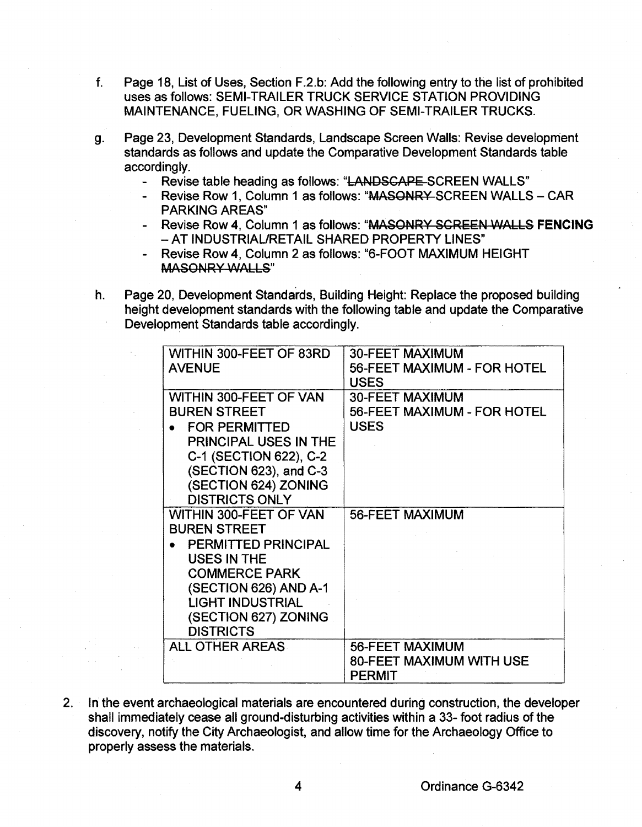- f. Page 18, List of Uses, Section F.2.b: Add the following entry to the list of prohibited uses as follows: SEMI-TRAILER TRUCK SERVICE STATlON PROVIDING MAINTENANCE, FUELING, OR WASHING OF SEMI-TRAILER TRUCKS.
- g. Page 23, Development Standards, Landscape Screen Walls: Revise development standards as follows and update the Comparative Development Standards table accordingly.
	- Revise table heading as follows: "LANDSCAPE SCREEN WALLS"
	- Revise Row 1, Column 1 as follows: "MASONRY-SCREEN WALLS CAR PARKING AREAS"
	- .Revise Row 4, Column 1 as follows: "MASONRY SCREEN 'NALLS **FENCING**  -AT INDUSTRIAURETAIL SHARED PROPERTY LINES"
	- Revise Row 4, Column 2 as follows: "6-FOOT MAXIMUM HEIGHT **MASONRY WALLS"**
- h. Page 20, Development Standards, Building Height: Replace the proposed building height development standards with the following table and update the Comparative Development Standards table accordingly.

| WITHIN 300-FEET OF 83RD<br><b>AVENUE</b>                                 | <b>30-FEET MAXIMUM</b><br>56-FEET MAXIMUM - FOR HOTEL                |
|--------------------------------------------------------------------------|----------------------------------------------------------------------|
| <b>WITHIN 300-FEET OF VAN</b><br><b>BUREN STREET</b>                     | <b>USES</b><br><b>30-FEET MAXIMUM</b><br>56-FEET MAXIMUM - FOR HOTEL |
| <b>FOR PERMITTED</b><br><b>PRINCIPAL USES IN THE</b>                     | <b>USES</b>                                                          |
| C-1 (SECTION 622), C-2<br>(SECTION 623), and C-3<br>(SECTION 624) ZONING |                                                                      |
| <b>DISTRICTS ONLY</b><br><b>WITHIN 300-FEET OF VAN</b>                   | <b>56-FEET MAXIMUM</b>                                               |
| <b>BUREN STREET</b><br>PERMITTED PRINCIPAL                               |                                                                      |
| <b>USES IN THE</b><br><b>COMMERCE PARK</b><br>(SECTION 626) AND A-1      |                                                                      |
| <b>LIGHT INDUSTRIAL</b><br>(SECTION 627) ZONING<br><b>DISTRICTS</b>      |                                                                      |
| <b>ALL OTHER AREAS</b>                                                   | 56-FEET MAXIMUM<br><b>80-FEET MAXIMUM WITH USE</b><br><b>PERMIT</b>  |

2. In the event archaeological materials are encountered during construction, the developer shall immediately cease all ground-disturbing activities within a 33- foot radius of the discovery, notify the City Archaeologist, and allow time for the Archaeology Office to properly assess the materials.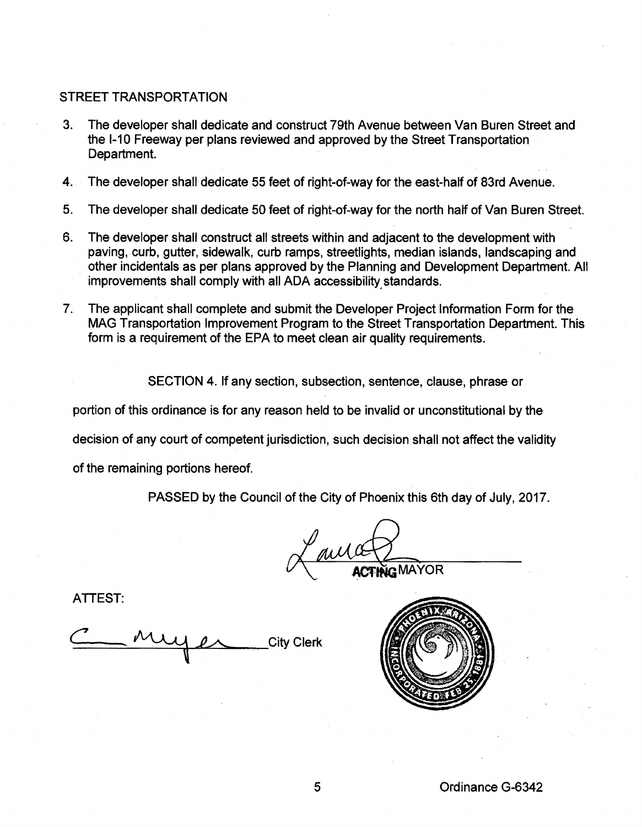# STREET TRANSPORTATION

- 3. The developer shall dedicate and construct 79th Avenue between Van Buren Street and the 1-10 Freeway per plans reviewed and approved by the Street Transportation Department.
- 4.. The developer shall dedicate 55 feet of right-of-way for the east-half of 83rd Avenue.
- 5. The developer shall dedicate 50 feet of right-of-way for the north half of Van Buren Street.
- 6. The developer shall construct all streets within and adjacent to the development with paving, curb, gutter, sidewalk, curb ramps, streetlights, median islands, landscaping and other incidentals as per plans approved by the Planning and Development Department. All improvements shall comply with all ADA accessibility standards.
- 7. The applicant shall complete and submit the Developer Project Information Form for the MAG Transportation Improvement Program to the Street Transportation Department. This form is a requirement of the EPA to meet clean air quality requirements.

SECTION 4. If any section, subsection, sentence, clause, phrase or

portion of this ordinance is for any reason held to be invalid or unconstitutional by the

decision of any court of competent jurisdiction, such decision shall not affect the validity

of the remaining portions hereof.

PASSED by the Council of the City of Phoenix this 6th day of July, 2017.

of the City of Phoenix this 6th day of July, 2017.

ATTEST:

City Clerk

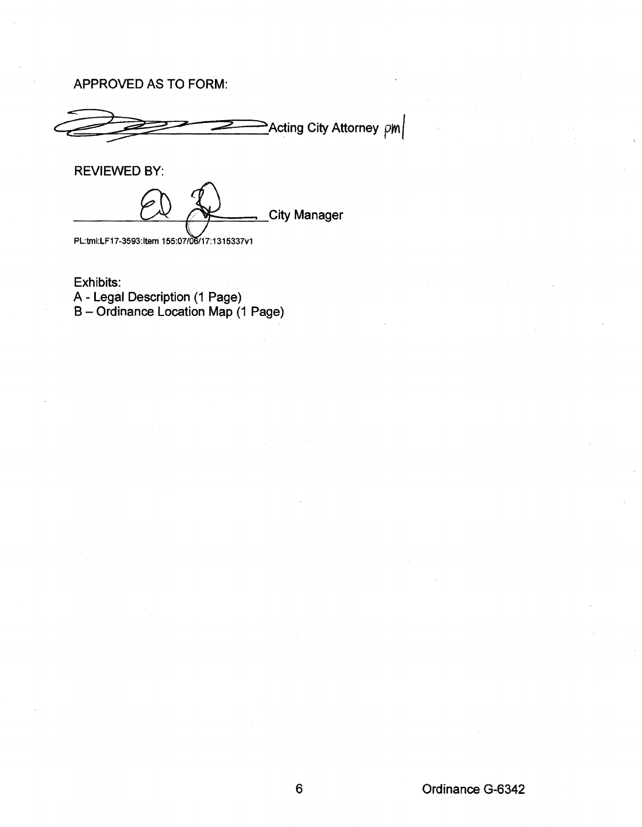# APPROVED AS TO FORM:

 $\geq$ Acting City Attorney  $\lvert p_{\mathsf{M}}\rvert$ 

REVIEWED BY:

**City Manager** 

PL:tml:LF17-3593:Item 155:07/06/17:1315337v1

Exhibits: A- Legal Description (1 Page) B- Ordinance Location Map (1 Page)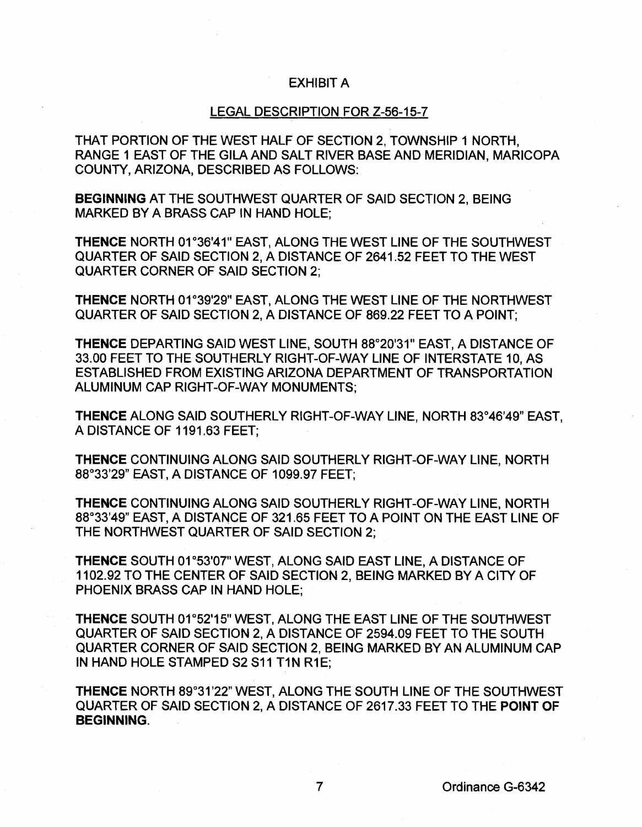#### EXHIBIT A

### LEGAL DESCRIPTION FOR Z-56-15-7

THAT PORTION OF THE WEST HALF OF SECTION 2, TOWNSHIP 1 NORTH, RANGE 1 EAST OF THE GILA AND SALT RIVER BASE AND MERIDIAN, MARICOPA COUNTY, ARIZONA, DESCRIBED AS FOLLOWS:

BEGINNING AT THE SOUTHWEST QUARTER OF SAID SECTION 2, BEING MARKED BY A BRASS CAP IN HAND HOLE;

THENCE NORTH 01°36'41" EAST, ALONG THE WEST LINE OF THE SOUTHWEST QUARTER OF SAID SECTION 2, A DISTANCE OF 2641.52 FEET TO THE WEST QUARTER CORNER OF SAID SECTION 2;

THENCE NORTH 01°39'29" EAST, ALONG THE WEST LINE OF THE NORTHWEST QUARTER OF SAID SECTION 2, A DISTANCE OF 869.22 FEET TO A POINT;

THENCE DEPARTING SAID WEST LINE, SOUTH 88°20'31" EAST, A DISTANCE OF 33.00 FEET TO THE SOUTHERLY RIGHT-OF-WAY LINE OF INTERSTATE 10, AS ESTABLISHED FROM EXISTING ARIZONA DEPARTMENT OF TRANSPORTATION ALUMINUM CAP RIGHT-OF-WAY MONUMENTS;

THENCE ALONG SAID SOUTHERLY RIGHT-OF-WAY LINE, NORTH 83°46'49" EAST, A DISTANCE OF 1191.63 FEET;

THENCE CONTINUING ALONG SAID SOUTHERLY RIGHT-OF-WAY LINE, NORTH 88°33'29" EAST, A DISTANCE OF 1099.97 FEET;

THENCE CONTINUING ALONG SAID SOUTHERLY RIGHT-OF-WAY LINE, NORTH 88°33'49" EAST, A DISTANCE OF 321.65 FEET TO A POINT ON THE EAST LINE OF THE NORTHWEST QUARTER OF SAID SECTION 2;

THENCE SOUTH 01°53'07" WEST, ALONG SAID EAST LINE, A DISTANCE OF 1102.92 TO THE CENTER OF SAID SECTION 2, BEING MARKED BY A CITY OF PHOENIX BRASS CAP IN HAND HOLE;

THENCE SOUTH 01°52'15" WEST, ALONG THE EAST LINE OF THE SOUTHWEST QUARTER OF SAID SECTION 2, A DISTANCE OF 2594.09 FEET TO THE SOUTH QUARTER CORNER OF SAID SECTION 2, BEING MARKED BY AN ALUMINUM CAP IN HAND HOLE STAMPED S2 S11 T1N R1E;

THENCE NORTH 89°31'22" WEST, ALONG THE SOUTH LINE OF THE SOUTHWEST QUARTER OF SAID SECTION 2, A DISTANCE OF 2617.33 FEET TO THE POINT OF BEGINNING.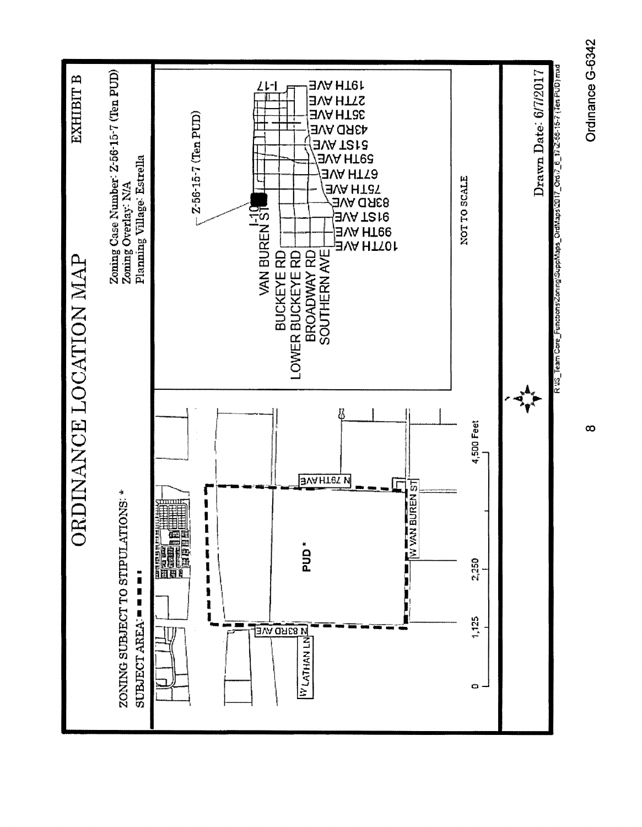

Ordinance G-6342 Ordinance G-6342

 $\infty$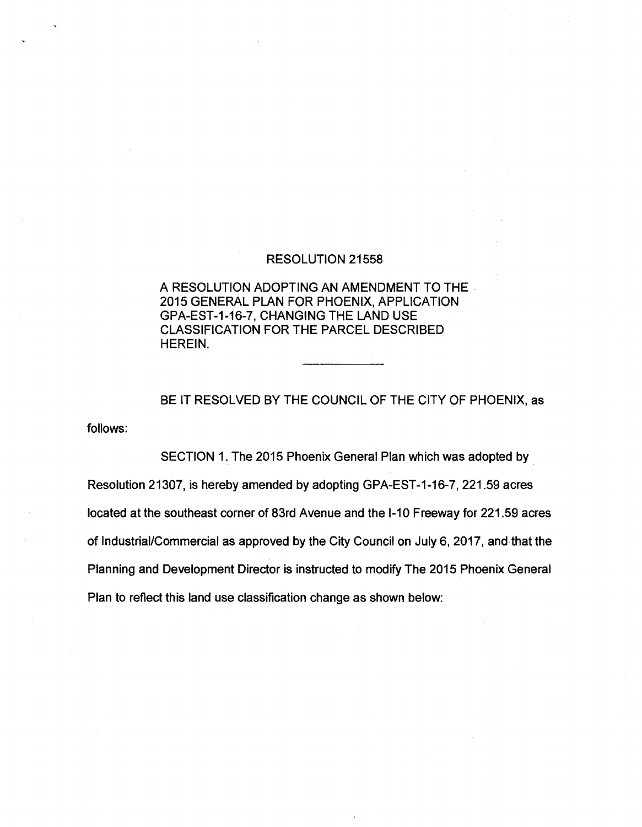## RESOLUTION 21558

A RESOLUTION ADOPTING AN AMENDMENT TO THE 2015 GENERAL PLAN FOR PHOENIX, APPLICATION GPA-EST-1-16-7, CHANGING THE LAND USE CLASSIFICATION FOR THE PARCEL DESCRIBED HEREIN.

follows: BE IT RESOLVED BY THE COUNCIL OF THE CITY OF PHOENIX, as

SECTION 1. The 2015 Phoenix General Plan which was adopted by Resolution 21307, is hereby amended by adopting GPA-EST -1-16-7, 221.59 acres located at the southeast corner of 83rd Avenue and the 1-10 Freeway for 221.59 acres of Industrial/Commercial as approved by the City Council on July 6, 2017, and that the Planning and Development Director is instructed to modify The 2015 Phoenix General Plan to reflect this land use classification change as shown below: